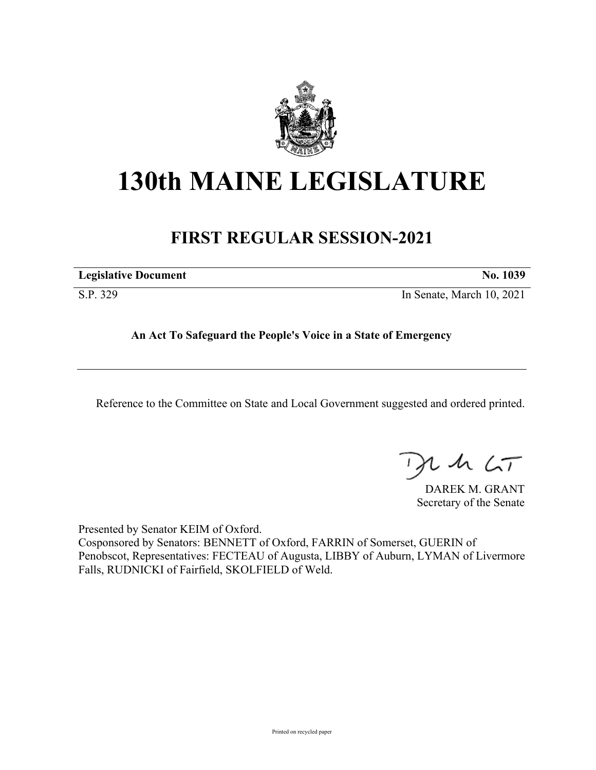

## **130th MAINE LEGISLATURE**

## **FIRST REGULAR SESSION-2021**

| <b>Legislative Document</b> | No. 1039 |
|-----------------------------|----------|
|                             |          |

S.P. 329 In Senate, March 10, 2021

**An Act To Safeguard the People's Voice in a State of Emergency**

Reference to the Committee on State and Local Government suggested and ordered printed.

 $115$ 

DAREK M. GRANT Secretary of the Senate

Presented by Senator KEIM of Oxford. Cosponsored by Senators: BENNETT of Oxford, FARRIN of Somerset, GUERIN of Penobscot, Representatives: FECTEAU of Augusta, LIBBY of Auburn, LYMAN of Livermore Falls, RUDNICKI of Fairfield, SKOLFIELD of Weld.